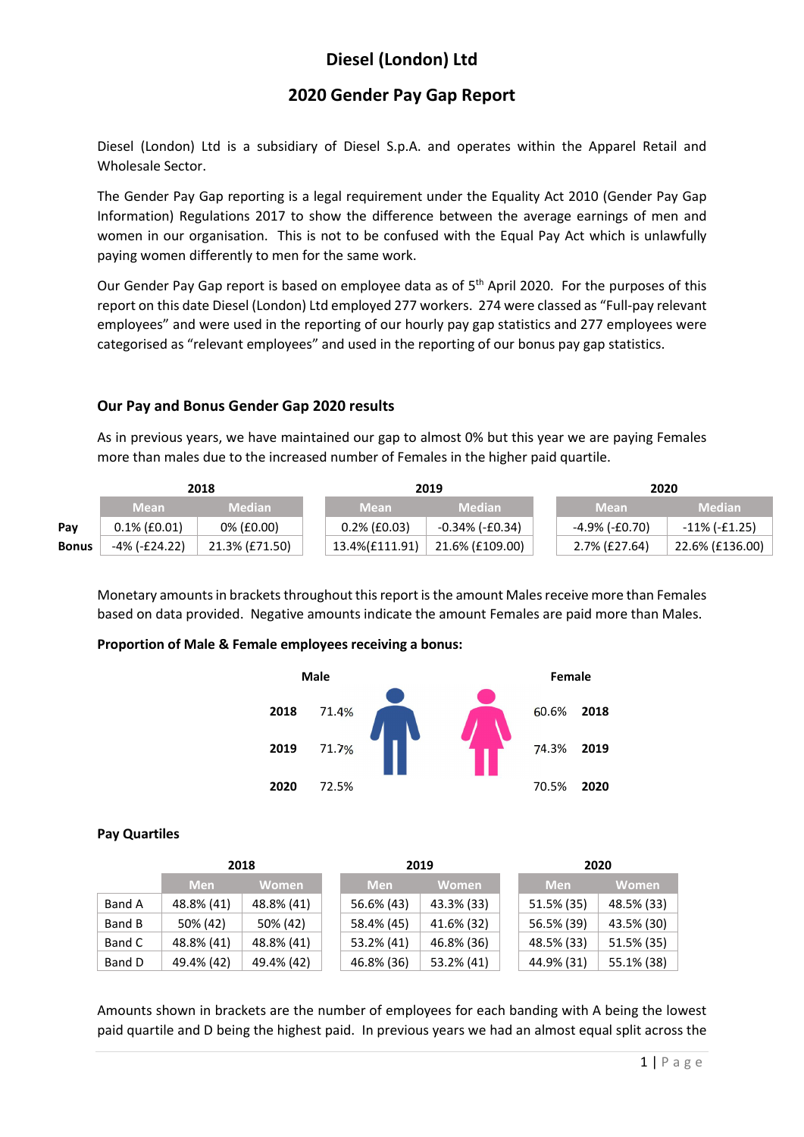# Diesel (London) Ltd

## 2020 Gender Pay Gap Report

Diesel (London) Ltd is a subsidiary of Diesel S.p.A. and operates within the Apparel Retail and Wholesale Sector.

The Gender Pay Gap reporting is a legal requirement under the Equality Act 2010 (Gender Pay Gap Information) Regulations 2017 to show the difference between the average earnings of men and women in our organisation. This is not to be confused with the Equal Pay Act which is unlawfully paying women differently to men for the same work.

Our Gender Pay Gap report is based on employee data as of 5<sup>th</sup> April 2020. For the purposes of this report on this date Diesel (London) Ltd employed 277 workers. 274 were classed as "Full-pay relevant employees" and were used in the reporting of our hourly pay gap statistics and 277 employees were categorised as "relevant employees" and used in the reporting of our bonus pay gap statistics.

### Our Pay and Bonus Gender Gap 2020 results

As in previous years, we have maintained our gap to almost 0% but this year we are paying Females more than males due to the increased number of Females in the higher paid quartile.

|              |                 | 2018           |                 | 2019            |  |                | 2020            |  |  |
|--------------|-----------------|----------------|-----------------|-----------------|--|----------------|-----------------|--|--|
|              | <b>Mean</b>     | <b>Median</b>  | <b>Mean</b>     | <b>Median</b>   |  | <b>Mean</b>    | <b>Median</b>   |  |  |
| Pay          | $0.1\%$ (£0.01) | 0% (£0.00)     | $0.2\%$ (£0.03) | -0.34% (-£0.34) |  | -4.9% (-£0.70) | -11% (-£1.25)   |  |  |
| <b>Bonus</b> | -4% (-£24.22)   | 21.3% (£71.50) | 13.4%(£111.91)  | 21.6% (£109.00) |  | 2.7% (£27.64)  | 22.6% (£136.00) |  |  |

Monetary amounts in brackets throughout this report is the amount Males receive more than Females based on data provided. Negative amounts indicate the amount Females are paid more than Males.

#### Proportion of Male & Female employees receiving a bonus:



#### Pay Quartiles

|        | 2018       |              |  | 2019       |              |  | 2020       |              |  |
|--------|------------|--------------|--|------------|--------------|--|------------|--------------|--|
|        | <b>Men</b> | <b>Women</b> |  | <b>Men</b> | <b>Women</b> |  | <b>Men</b> | <b>Women</b> |  |
| Band A | 48.8% (41) | 48.8% (41)   |  | 56.6% (43) | 43.3% (33)   |  | 51.5% (35) | 48.5% (33)   |  |
| Band B | 50% (42)   | 50% (42)     |  | 58.4% (45) | 41.6% (32)   |  | 56.5% (39) | 43.5% (30)   |  |
| Band C | 48.8% (41) | 48.8% (41)   |  | 53.2% (41) | 46.8% (36)   |  | 48.5% (33) | 51.5% (35)   |  |
| Band D | 49.4% (42) | 49.4% (42)   |  | 46.8% (36) | 53.2% (41)   |  | 44.9% (31) | 55.1% (38)   |  |

Amounts shown in brackets are the number of employees for each banding with A being the lowest paid quartile and D being the highest paid. In previous years we had an almost equal split across the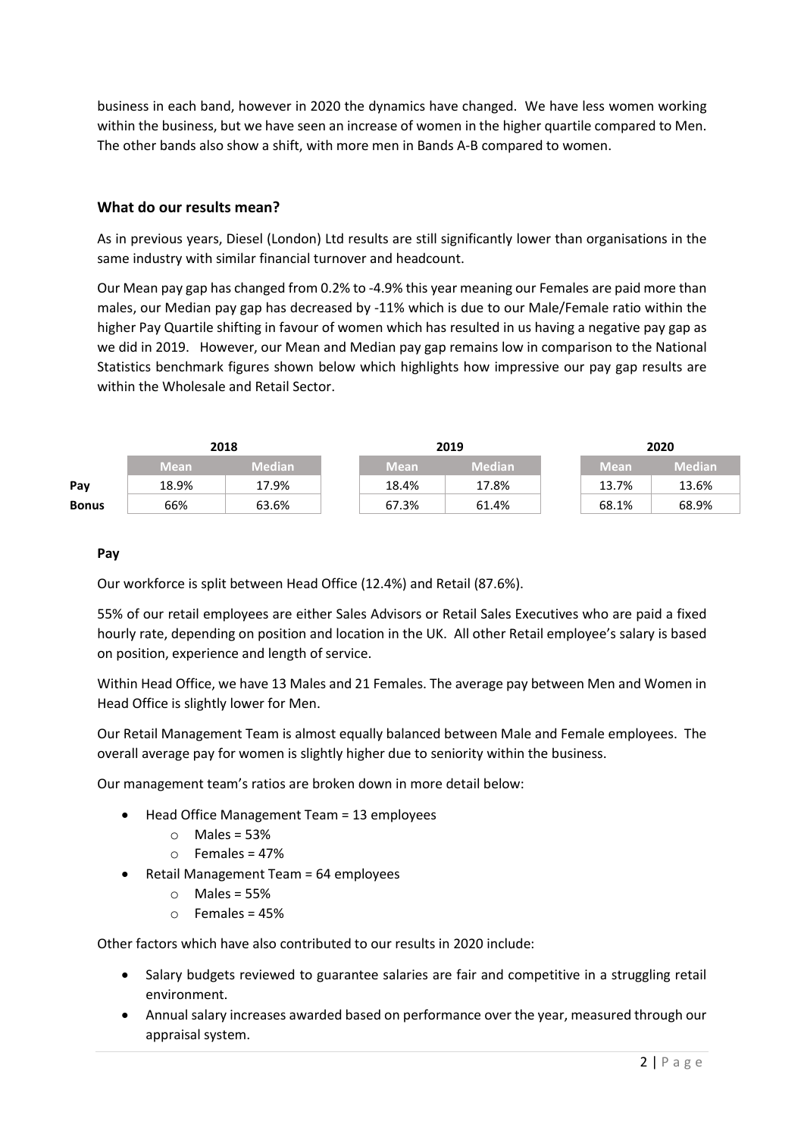business in each band, however in 2020 the dynamics have changed. We have less women working within the business, but we have seen an increase of women in the higher quartile compared to Men. The other bands also show a shift, with more men in Bands A-B compared to women.

#### What do our results mean?

As in previous years, Diesel (London) Ltd results are still significantly lower than organisations in the same industry with similar financial turnover and headcount.

Our Mean pay gap has changed from 0.2% to -4.9% this year meaning our Females are paid more than males, our Median pay gap has decreased by -11% which is due to our Male/Female ratio within the higher Pay Quartile shifting in favour of women which has resulted in us having a negative pay gap as we did in 2019. However, our Mean and Median pay gap remains low in comparison to the National Statistics benchmark figures shown below which highlights how impressive our pay gap results are within the Wholesale and Retail Sector.

|              | 2018        |               |             | 2019          | 2020   |               |  |
|--------------|-------------|---------------|-------------|---------------|--------|---------------|--|
|              | <b>Mean</b> | <b>Median</b> | <b>Mean</b> | <b>Median</b> | / Mean | <b>Median</b> |  |
| Pay          | 18.9%       | 17.9%         | 18.4%       | 17.8%         | 13.7%  | 13.6%         |  |
| <b>Bonus</b> | 66%         | 63.6%         | 67.3%       | 61.4%         | 68.1%  | 68.9%         |  |

#### Pay

Our workforce is split between Head Office (12.4%) and Retail (87.6%).

55% of our retail employees are either Sales Advisors or Retail Sales Executives who are paid a fixed hourly rate, depending on position and location in the UK. All other Retail employee's salary is based on position, experience and length of service.

Within Head Office, we have 13 Males and 21 Females. The average pay between Men and Women in Head Office is slightly lower for Men.

Our Retail Management Team is almost equally balanced between Male and Female employees. The overall average pay for women is slightly higher due to seniority within the business.

Our management team's ratios are broken down in more detail below:

- Head Office Management Team = 13 employees
	- $\circ$  Males = 53%
	- $\circ$  Females = 47%
- Retail Management Team = 64 employees
	- $\circ$  Males = 55%
	- $\circ$  Females = 45%

Other factors which have also contributed to our results in 2020 include:

- Salary budgets reviewed to guarantee salaries are fair and competitive in a struggling retail environment.
- Annual salary increases awarded based on performance over the year, measured through our appraisal system.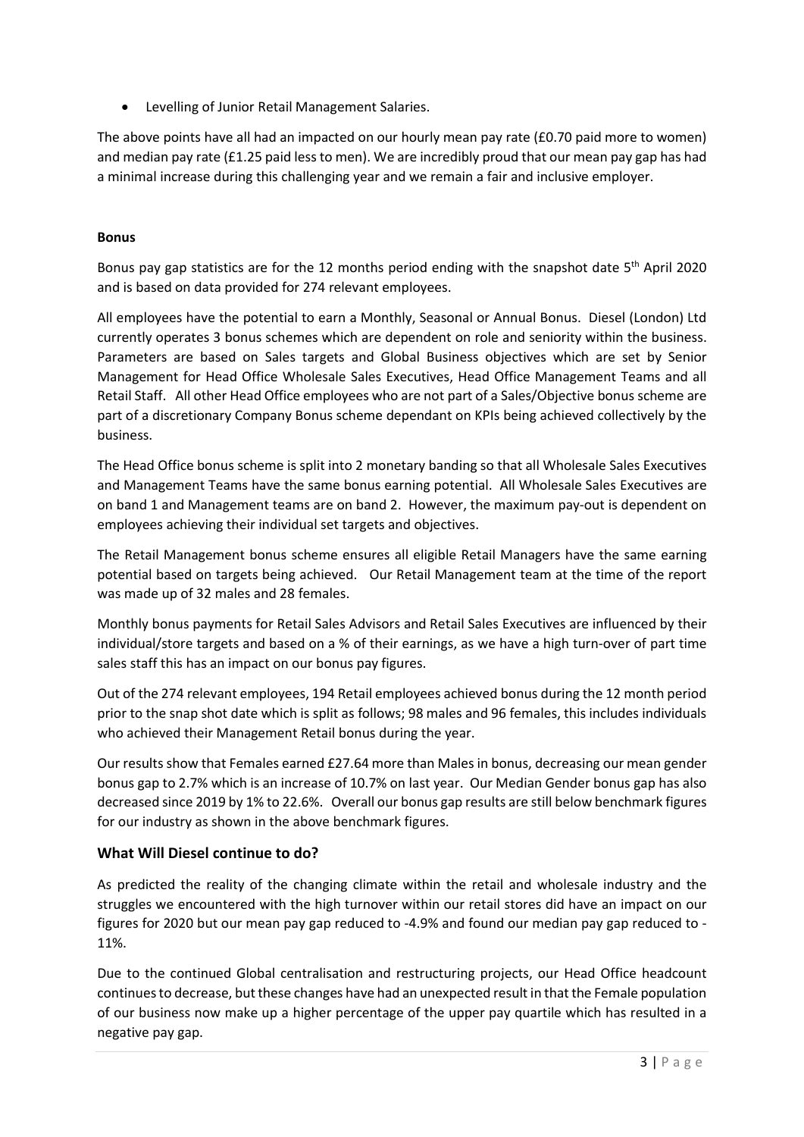Levelling of Junior Retail Management Salaries.

The above points have all had an impacted on our hourly mean pay rate (£0.70 paid more to women) and median pay rate (£1.25 paid less to men). We are incredibly proud that our mean pay gap has had a minimal increase during this challenging year and we remain a fair and inclusive employer.

## Bonus

Bonus pay gap statistics are for the 12 months period ending with the snapshot date  $5<sup>th</sup>$  April 2020 and is based on data provided for 274 relevant employees.

All employees have the potential to earn a Monthly, Seasonal or Annual Bonus. Diesel (London) Ltd currently operates 3 bonus schemes which are dependent on role and seniority within the business. Parameters are based on Sales targets and Global Business objectives which are set by Senior Management for Head Office Wholesale Sales Executives, Head Office Management Teams and all Retail Staff. All other Head Office employees who are not part of a Sales/Objective bonus scheme are part of a discretionary Company Bonus scheme dependant on KPIs being achieved collectively by the business.

The Head Office bonus scheme is split into 2 monetary banding so that all Wholesale Sales Executives and Management Teams have the same bonus earning potential. All Wholesale Sales Executives are on band 1 and Management teams are on band 2. However, the maximum pay-out is dependent on employees achieving their individual set targets and objectives.

The Retail Management bonus scheme ensures all eligible Retail Managers have the same earning potential based on targets being achieved. Our Retail Management team at the time of the report was made up of 32 males and 28 females.

Monthly bonus payments for Retail Sales Advisors and Retail Sales Executives are influenced by their individual/store targets and based on a % of their earnings, as we have a high turn-over of part time sales staff this has an impact on our bonus pay figures.

Out of the 274 relevant employees, 194 Retail employees achieved bonus during the 12 month period prior to the snap shot date which is split as follows; 98 males and 96 females, this includes individuals who achieved their Management Retail bonus during the year.

Our results show that Females earned £27.64 more than Malesin bonus, decreasing our mean gender bonus gap to 2.7% which is an increase of 10.7% on last year. Our Median Gender bonus gap has also decreased since 2019 by 1% to 22.6%. Overall our bonus gap results are still below benchmark figures for our industry as shown in the above benchmark figures.

## What Will Diesel continue to do?

As predicted the reality of the changing climate within the retail and wholesale industry and the struggles we encountered with the high turnover within our retail stores did have an impact on our figures for 2020 but our mean pay gap reduced to -4.9% and found our median pay gap reduced to - 11%.

Due to the continued Global centralisation and restructuring projects, our Head Office headcount continues to decrease, but these changes have had an unexpected result in that the Female population of our business now make up a higher percentage of the upper pay quartile which has resulted in a negative pay gap.